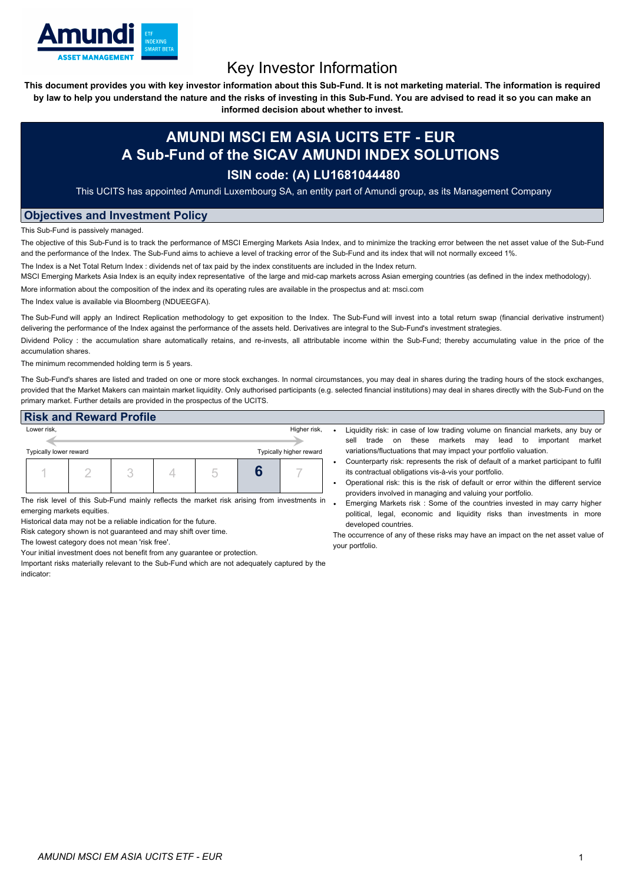

## Key Investor Information

This document provides you with key investor information about this Sub-Fund. It is not marketing material. The information is required by law to help you understand the nature and the risks of investing in this Sub-Fund. You are advised to read it so you can make an

**informed decision about whether to invest.**

## **AMUNDI MSCI EM ASIA UCITS ETF - EUR A Sub-Fund of the SICAV AMUNDI INDEX SOLUTIONS**

## **ISIN code: (A) LU1681044480**

This UCITS has appointed Amundi Luxembourg SA, an entity part of Amundi group, as its Management Company

## **Objectives and Investment Policy**

This Sub-Fund is passively managed.

The objective of this Sub-Fund is to track the performance of MSCI Emerging Markets Asia Index, and to minimize the tracking error between the net asset value of the Sub-Fund and the performance of the Index. The Sub-Fund aims to achieve a level of tracking error of the Sub-Fund and its index that will not normally exceed 1%.

The Index is a Net Total Return Index : dividends net of tax paid by the index constituents are included in the Index return.

MSCI Emerging Markets Asia Index is an equity index representative of the large and mid-cap markets across Asian emerging countries (as defined in the index methodology).

More information about the composition of the index and its operating rules are available in the prospectus and at: msci.com

The Index value is available via Bloomberg (NDUEEGFA).

The Sub-Fund will apply an Indirect Replication methodology to get exposition to the Index. The Sub-Fund will invest into a total return swap (financial derivative instrument) delivering the performance of the Index against the performance of the assets held. Derivatives are integral to the Sub-Fund's investment strategies.

Dividend Policy: the accumulation share automatically retains, and re-invests, all attributable income within the Sub-Fund; thereby accumulating value in the price of the accumulation shares.

The minimum recommended holding term is 5 years.

The Sub-Fund's shares are listed and traded on one or more stock exchanges. In normal circumstances, you may deal in shares during the trading hours of the stock exchanges, provided that the Market Makers can maintain market liquidity. Only authorised participants (e.g. selected financial institutions) may deal in shares directly with the Sub-Fund on the primary market. Further details are provided in the prospectus of the UCITS.

| <b>Risk and Reward Profile</b>                    |              |  |  |  |  |  |  |
|---------------------------------------------------|--------------|--|--|--|--|--|--|
| Lower risk,                                       | Higher risk, |  |  |  |  |  |  |
|                                                   |              |  |  |  |  |  |  |
| Typically higher reward<br>Typically lower reward |              |  |  |  |  |  |  |
|                                                   |              |  |  |  |  |  |  |
|                                                   |              |  |  |  |  |  |  |

The risk level of this Sub-Fund mainly reflects the market risk arising from investments in emerging markets equities.

Historical data may not be a reliable indication for the future.

Risk category shown is not guaranteed and may shift over time.

The lowest category does not mean 'risk free'.

Your initial investment does not benefit from any guarantee or protection.

Important risks materially relevant to the Sub-Fund which are not adequately captured by the indicator:

- Liquidity risk: in case of low trading volume on financial markets, any buy or sell trade on these markets may lead to important market variations/fluctuations that may impact your portfolio valuation.
- Counterparty risk: represents the risk of default of a market participant to fulfil its contractual obligations vis-à-vis your portfolio.
- Operational risk: this is the risk of default or error within the different service providers involved in managing and valuing your portfolio.
- Emerging Markets risk : Some of the countries invested in may carry higher political, legal, economic and liquidity risks than investments in more developed countries.

The occurrence of any of these risks may have an impact on the net asset value of your portfolio.